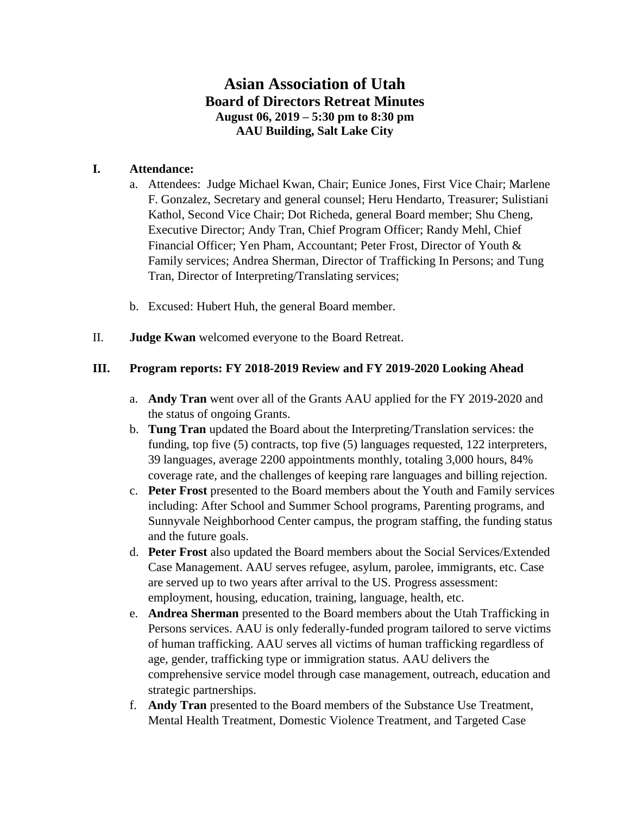# **Asian Association of Utah Board of Directors Retreat Minutes August 06, 2019 – 5:30 pm to 8:30 pm AAU Building, Salt Lake City**

### **I. Attendance:**

- a. Attendees: Judge Michael Kwan, Chair; Eunice Jones, First Vice Chair; Marlene F. Gonzalez, Secretary and general counsel; Heru Hendarto, Treasurer; Sulistiani Kathol, Second Vice Chair; Dot Richeda, general Board member; Shu Cheng, Executive Director; Andy Tran, Chief Program Officer; Randy Mehl, Chief Financial Officer; Yen Pham, Accountant; Peter Frost, Director of Youth & Family services; Andrea Sherman, Director of Trafficking In Persons; and Tung Tran, Director of Interpreting/Translating services;
- b. Excused: Hubert Huh, the general Board member.
- II. **Judge Kwan** welcomed everyone to the Board Retreat.

#### **III. Program reports: FY 2018-2019 Review and FY 2019-2020 Looking Ahead**

- a. **Andy Tran** went over all of the Grants AAU applied for the FY 2019-2020 and the status of ongoing Grants.
- b. **Tung Tran** updated the Board about the Interpreting/Translation services: the funding, top five (5) contracts, top five (5) languages requested, 122 interpreters, 39 languages, average 2200 appointments monthly, totaling 3,000 hours, 84% coverage rate, and the challenges of keeping rare languages and billing rejection.
- c. **Peter Frost** presented to the Board members about the Youth and Family services including: After School and Summer School programs, Parenting programs, and Sunnyvale Neighborhood Center campus, the program staffing, the funding status and the future goals.
- d. **Peter Frost** also updated the Board members about the Social Services/Extended Case Management. AAU serves refugee, asylum, parolee, immigrants, etc. Case are served up to two years after arrival to the US. Progress assessment: employment, housing, education, training, language, health, etc.
- e. **Andrea Sherman** presented to the Board members about the Utah Trafficking in Persons services. AAU is only federally-funded program tailored to serve victims of human trafficking. AAU serves all victims of human trafficking regardless of age, gender, trafficking type or immigration status. AAU delivers the comprehensive service model through case management, outreach, education and strategic partnerships.
- f. **Andy Tran** presented to the Board members of the Substance Use Treatment, Mental Health Treatment, Domestic Violence Treatment, and Targeted Case